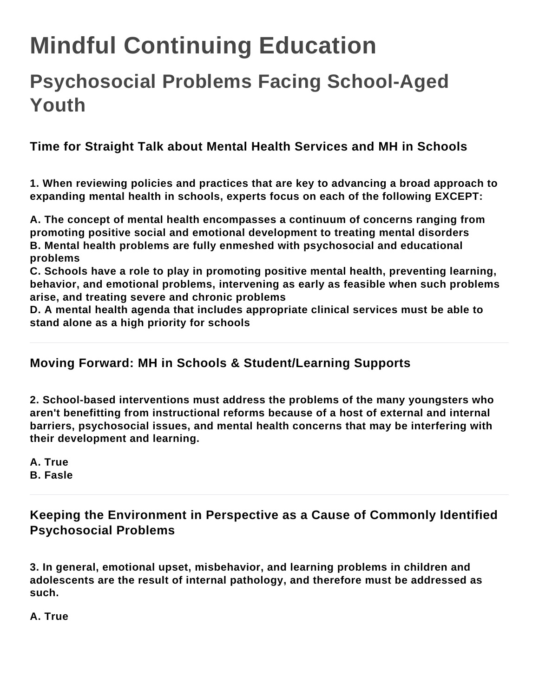# **Mindful Continuing Education**

# **Psychosocial Problems Facing School-Aged Youth**

**Time for Straight Talk about Mental Health Services and MH in Schools**

**1. When reviewing policies and practices that are key to advancing a broad approach to expanding mental health in schools, experts focus on each of the following EXCEPT:**

**A. The concept of mental health encompasses a continuum of concerns ranging from promoting positive social and emotional development to treating mental disorders B. Mental health problems are fully enmeshed with psychosocial and educational problems**

**C. Schools have a role to play in promoting positive mental health, preventing learning, behavior, and emotional problems, intervening as early as feasible when such problems arise, and treating severe and chronic problems**

**D. A mental health agenda that includes appropriate clinical services must be able to stand alone as a high priority for schools**

### **Moving Forward: MH in Schools & Student/Learning Supports**

**2. School-based interventions must address the problems of the many youngsters who aren't benefitting from instructional reforms because of a host of external and internal barriers, psychosocial issues, and mental health concerns that may be interfering with their development and learning.**

**A. True B. Fasle**

**Keeping the Environment in Perspective as a Cause of Commonly Identified Psychosocial Problems**

**3. In general, emotional upset, misbehavior, and learning problems in children and adolescents are the result of internal pathology, and therefore must be addressed as such.**

**A. True**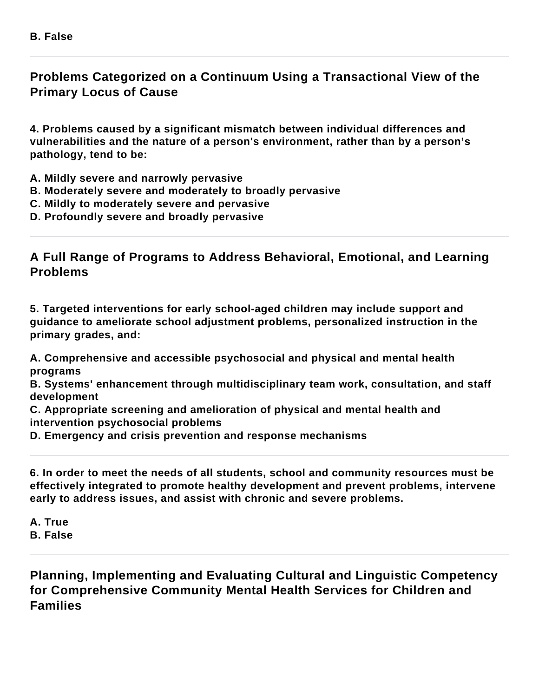# **Problems Categorized on a Continuum Using a Transactional View of the Primary Locus of Cause**

**4. Problems caused by a significant mismatch between individual differences and vulnerabilities and the nature of a person's environment, rather than by a person's pathology, tend to be:**

- **A. Mildly severe and narrowly pervasive**
- **B. Moderately severe and moderately to broadly pervasive**
- **C. Mildly to moderately severe and pervasive**
- **D. Profoundly severe and broadly pervasive**

#### **A Full Range of Programs to Address Behavioral, Emotional, and Learning Problems**

**5. Targeted interventions for early school-aged children may include support and guidance to ameliorate school adjustment problems, personalized instruction in the primary grades, and:**

**A. Comprehensive and accessible psychosocial and physical and mental health programs**

**B. Systems' enhancement through multidisciplinary team work, consultation, and staff development**

**C. Appropriate screening and amelioration of physical and mental health and intervention psychosocial problems**

**D. Emergency and crisis prevention and response mechanisms**

**6. In order to meet the needs of all students, school and community resources must be effectively integrated to promote healthy development and prevent problems, intervene early to address issues, and assist with chronic and severe problems.**

**A. True B. False**

**Planning, Implementing and Evaluating Cultural and Linguistic Competency for Comprehensive Community Mental Health Services for Children and Families**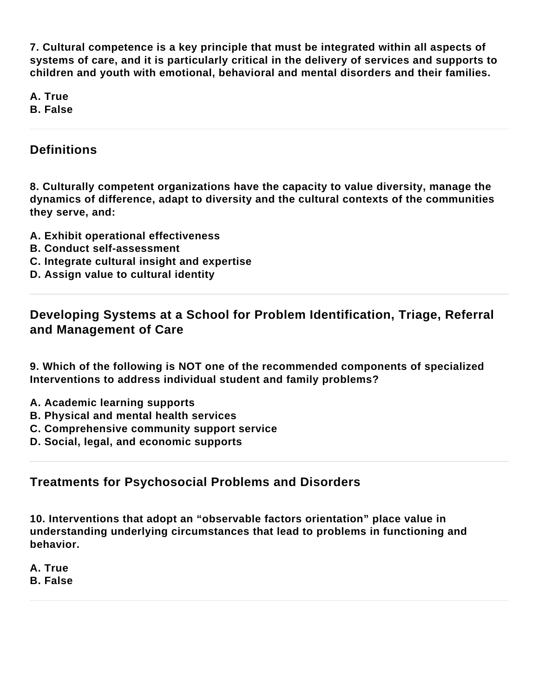**7. Cultural competence is a key principle that must be integrated within all aspects of systems of care, and it is particularly critical in the delivery of services and supports to children and youth with emotional, behavioral and mental disorders and their families.**

**A. True B. False**

#### **Definitions**

**8. Culturally competent organizations have the capacity to value diversity, manage the dynamics of difference, adapt to diversity and the cultural contexts of the communities they serve, and:**

- **A. Exhibit operational effectiveness**
- **B. Conduct self-assessment**
- **C. Integrate cultural insight and expertise**
- **D. Assign value to cultural identity**

**Developing Systems at a School for Problem Identification, Triage, Referral and Management of Care**

**9. Which of the following is NOT one of the recommended components of specialized Interventions to address individual student and family problems?**

- **A. Academic learning supports**
- **B. Physical and mental health services**
- **C. Comprehensive community support service**
- **D. Social, legal, and economic supports**

#### **Treatments for Psychosocial Problems and Disorders**

**10. Interventions that adopt an "observable factors orientation" place value in understanding underlying circumstances that lead to problems in functioning and behavior.**

**A. True B. False**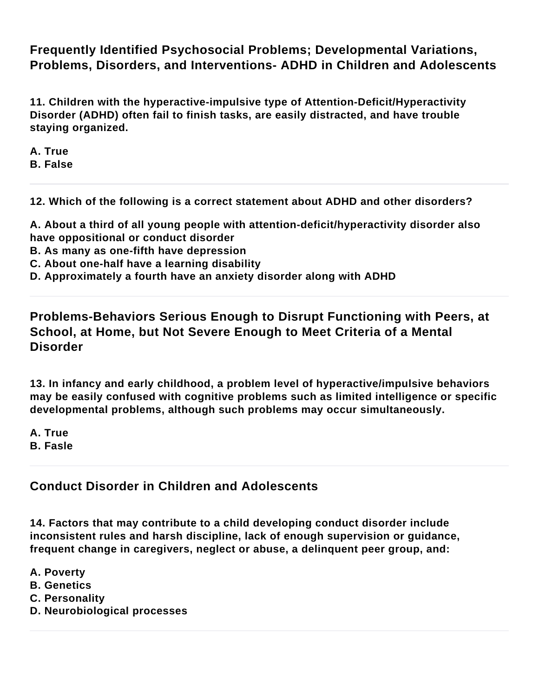**Frequently Identified Psychosocial Problems; Developmental Variations, Problems, Disorders, and Interventions- ADHD in Children and Adolescents**

**11. Children with the hyperactive-impulsive type of Attention-Deficit/Hyperactivity Disorder (ADHD) often fail to finish tasks, are easily distracted, and have trouble staying organized.**

**A. True B. False**

**12. Which of the following is a correct statement about ADHD and other disorders?**

**A. About a third of all young people with attention-deficit/hyperactivity disorder also have oppositional or conduct disorder**

- **B. As many as one-fifth have depression**
- **C. About one-half have a learning disability**

**D. Approximately a fourth have an anxiety disorder along with ADHD**

**Problems-Behaviors Serious Enough to Disrupt Functioning with Peers, at School, at Home, but Not Severe Enough to Meet Criteria of a Mental Disorder**

**13. In infancy and early childhood, a problem level of hyperactive/impulsive behaviors may be easily confused with cognitive problems such as limited intelligence or specific developmental problems, although such problems may occur simultaneously.**

**A. True B. Fasle**

#### **Conduct Disorder in Children and Adolescents**

**14. Factors that may contribute to a child developing conduct disorder include inconsistent rules and harsh discipline, lack of enough supervision or guidance, frequent change in caregivers, neglect or abuse, a delinquent peer group, and:**

- **A. Poverty**
- **B. Genetics**
- **C. Personality**
- **D. Neurobiological processes**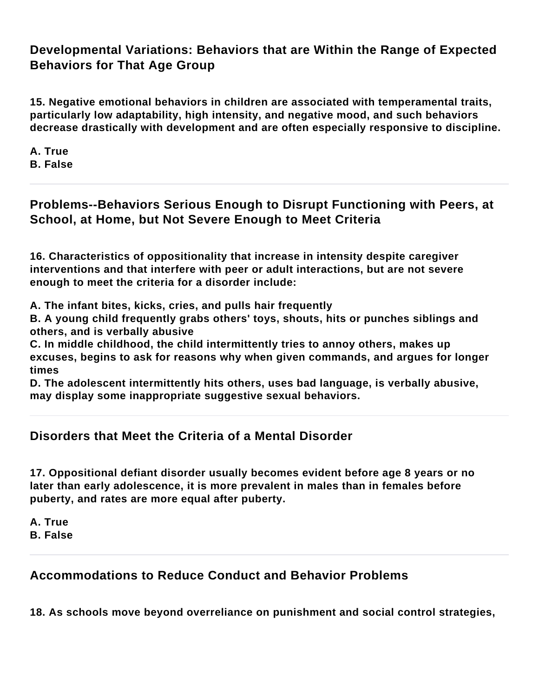# **Developmental Variations: Behaviors that are Within the Range of Expected Behaviors for That Age Group**

**15. Negative emotional behaviors in children are associated with temperamental traits, particularly low adaptability, high intensity, and negative mood, and such behaviors decrease drastically with development and are often especially responsive to discipline.**

**A. True B. False**

# **Problems--Behaviors Serious Enough to Disrupt Functioning with Peers, at School, at Home, but Not Severe Enough to Meet Criteria**

**16. Characteristics of oppositionality that increase in intensity despite caregiver interventions and that interfere with peer or adult interactions, but are not severe enough to meet the criteria for a disorder include:**

**A. The infant bites, kicks, cries, and pulls hair frequently**

**B. A young child frequently grabs others' toys, shouts, hits or punches siblings and others, and is verbally abusive**

**C. In middle childhood, the child intermittently tries to annoy others, makes up excuses, begins to ask for reasons why when given commands, and argues for longer times**

**D. The adolescent intermittently hits others, uses bad language, is verbally abusive, may display some inappropriate suggestive sexual behaviors.**

### **Disorders that Meet the Criteria of a Mental Disorder**

**17. Oppositional defiant disorder usually becomes evident before age 8 years or no later than early adolescence, it is more prevalent in males than in females before puberty, and rates are more equal after puberty.**

**A. True B. False**

# **Accommodations to Reduce Conduct and Behavior Problems**

**18. As schools move beyond overreliance on punishment and social control strategies,**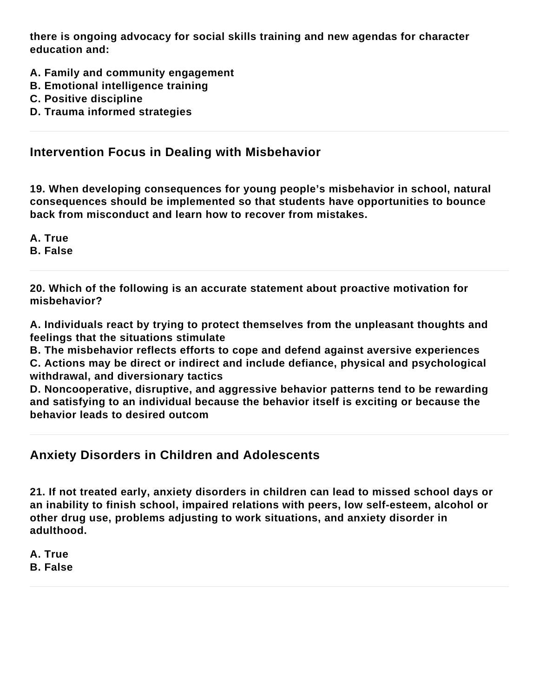**there is ongoing advocacy for social skills training and new agendas for character education and:**

- **A. Family and community engagement**
- **B. Emotional intelligence training**
- **C. Positive discipline**
- **D. Trauma informed strategies**

#### **Intervention Focus in Dealing with Misbehavior**

**19. When developing consequences for young people's misbehavior in school, natural consequences should be implemented so that students have opportunities to bounce back from misconduct and learn how to recover from mistakes.**

**A. True**

**B. False**

**20. Which of the following is an accurate statement about proactive motivation for misbehavior?**

**A. Individuals react by trying to protect themselves from the unpleasant thoughts and feelings that the situations stimulate**

**B. The misbehavior reflects efforts to cope and defend against aversive experiences C. Actions may be direct or indirect and include defiance, physical and psychological withdrawal, and diversionary tactics**

**D. Noncooperative, disruptive, and aggressive behavior patterns tend to be rewarding and satisfying to an individual because the behavior itself is exciting or because the behavior leads to desired outcom**

#### **Anxiety Disorders in Children and Adolescents**

**21. If not treated early, anxiety disorders in children can lead to missed school days or an inability to finish school, impaired relations with peers, low self-esteem, alcohol or other drug use, problems adjusting to work situations, and anxiety disorder in adulthood.**

**A. True B. False**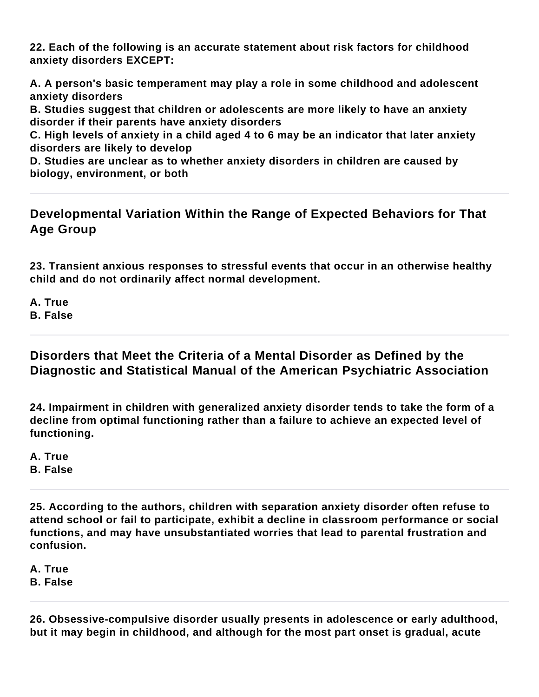**22. Each of the following is an accurate statement about risk factors for childhood anxiety disorders EXCEPT:**

**A. A person's basic temperament may play a role in some childhood and adolescent anxiety disorders**

**B. Studies suggest that children or adolescents are more likely to have an anxiety disorder if their parents have anxiety disorders**

**C. High levels of anxiety in a child aged 4 to 6 may be an indicator that later anxiety disorders are likely to develop**

**D. Studies are unclear as to whether anxiety disorders in children are caused by biology, environment, or both**

### **Developmental Variation Within the Range of Expected Behaviors for That Age Group**

**23. Transient anxious responses to stressful events that occur in an otherwise healthy child and do not ordinarily affect normal development.**

**A. True B. False**

**Disorders that Meet the Criteria of a Mental Disorder as Defined by the Diagnostic and Statistical Manual of the American Psychiatric Association**

**24. Impairment in children with generalized anxiety disorder tends to take the form of a decline from optimal functioning rather than a failure to achieve an expected level of functioning.**

**A. True B. False**

**25. According to the authors, children with separation anxiety disorder often refuse to attend school or fail to participate, exhibit a decline in classroom performance or social functions, and may have unsubstantiated worries that lead to parental frustration and confusion.**

**A. True B. False**

**26. Obsessive-compulsive disorder usually presents in adolescence or early adulthood, but it may begin in childhood, and although for the most part onset is gradual, acute**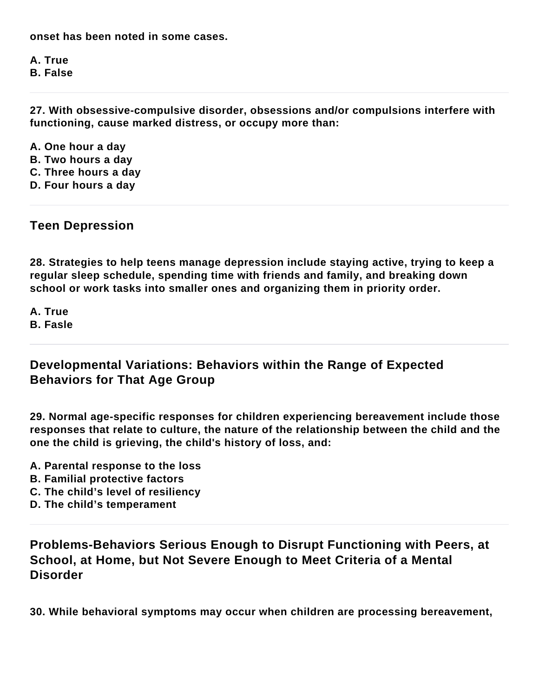**onset has been noted in some cases.**

**A. True B. False**

**27. With obsessive-compulsive disorder, obsessions and/or compulsions interfere with functioning, cause marked distress, or occupy more than:**

**A. One hour a day B. Two hours a day C. Three hours a day**

**D. Four hours a day**

**Teen Depression**

**28. Strategies to help teens manage depression include staying active, trying to keep a regular sleep schedule, spending time with friends and family, and breaking down school or work tasks into smaller ones and organizing them in priority order.**

**A. True B. Fasle**

**Developmental Variations: Behaviors within the Range of Expected Behaviors for That Age Group**

**29. Normal age-specific responses for children experiencing bereavement include those responses that relate to culture, the nature of the relationship between the child and the one the child is grieving, the child's history of loss, and:**

- **A. Parental response to the loss**
- **B. Familial protective factors**
- **C. The child's level of resiliency**
- **D. The child's temperament**

**Problems-Behaviors Serious Enough to Disrupt Functioning with Peers, at School, at Home, but Not Severe Enough to Meet Criteria of a Mental Disorder**

**30. While behavioral symptoms may occur when children are processing bereavement,**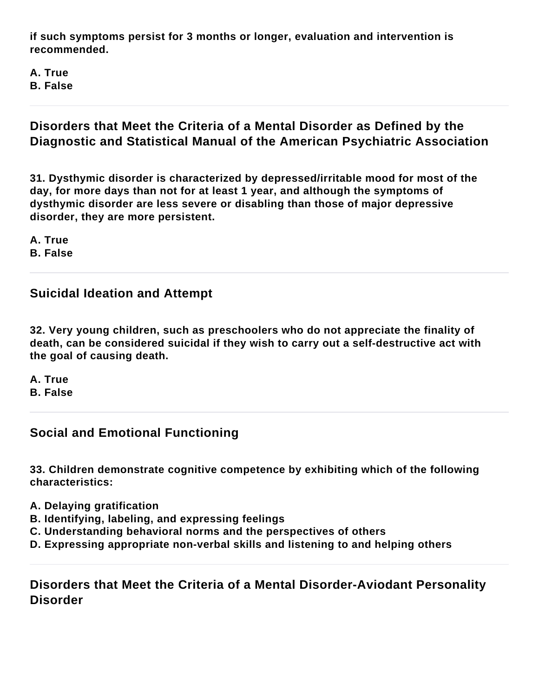**if such symptoms persist for 3 months or longer, evaluation and intervention is recommended.**

**A. True B. False**

#### **Disorders that Meet the Criteria of a Mental Disorder as Defined by the Diagnostic and Statistical Manual of the American Psychiatric Association**

**31. Dysthymic disorder is characterized by depressed/irritable mood for most of the day, for more days than not for at least 1 year, and although the symptoms of dysthymic disorder are less severe or disabling than those of major depressive disorder, they are more persistent.**

**A. True**

**B. False**

### **Suicidal Ideation and Attempt**

**32. Very young children, such as preschoolers who do not appreciate the finality of death, can be considered suicidal if they wish to carry out a self-destructive act with the goal of causing death.**

**A. True**

**B. False**

# **Social and Emotional Functioning**

**33. Children demonstrate cognitive competence by exhibiting which of the following characteristics:**

- **A. Delaying gratification**
- **B. Identifying, labeling, and expressing feelings**
- **C. Understanding behavioral norms and the perspectives of others**
- **D. Expressing appropriate non-verbal skills and listening to and helping others**

**Disorders that Meet the Criteria of a Mental Disorder-Aviodant Personality Disorder**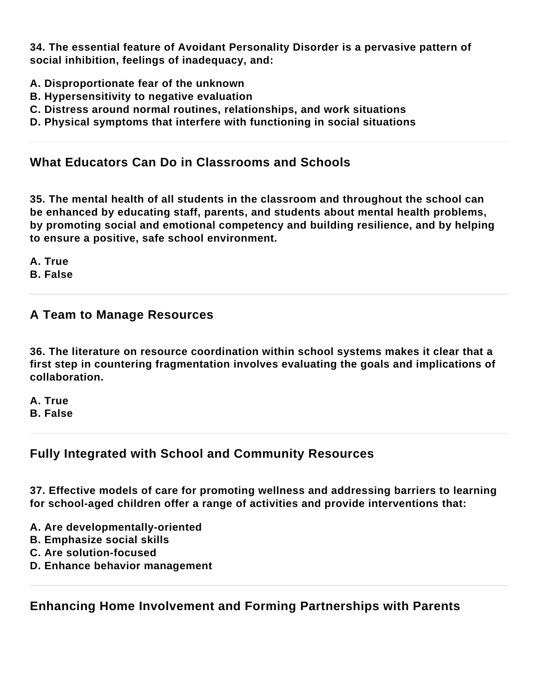**34. The essential feature of Avoidant Personality Disorder is a pervasive pattern of social inhibition, feelings of inadequacy, and:**

- **A. Disproportionate fear of the unknown**
- **B. Hypersensitivity to negative evaluation**
- **C. Distress around normal routines, relationships, and work situations**
- **D. Physical symptoms that interfere with functioning in social situations**

# **What Educators Can Do in Classrooms and Schools**

**35. The mental health of all students in the classroom and throughout the school can be enhanced by educating staff, parents, and students about mental health problems, by promoting social and emotional competency and building resilience, and by helping to ensure a positive, safe school environment.**

**A. True**

**B. False**

#### **A Team to Manage Resources**

**36. The literature on resource coordination within school systems makes it clear that a first step in countering fragmentation involves evaluating the goals and implications of collaboration.**

**A. True B. False**

# **Fully Integrated with School and Community Resources**

**37. Effective models of care for promoting wellness and addressing barriers to learning for school-aged children offer a range of activities and provide interventions that:**

- **A. Are developmentally-oriented**
- **B. Emphasize social skills**
- **C. Are solution-focused**
- **D. Enhance behavior management**

**Enhancing Home Involvement and Forming Partnerships with Parents**